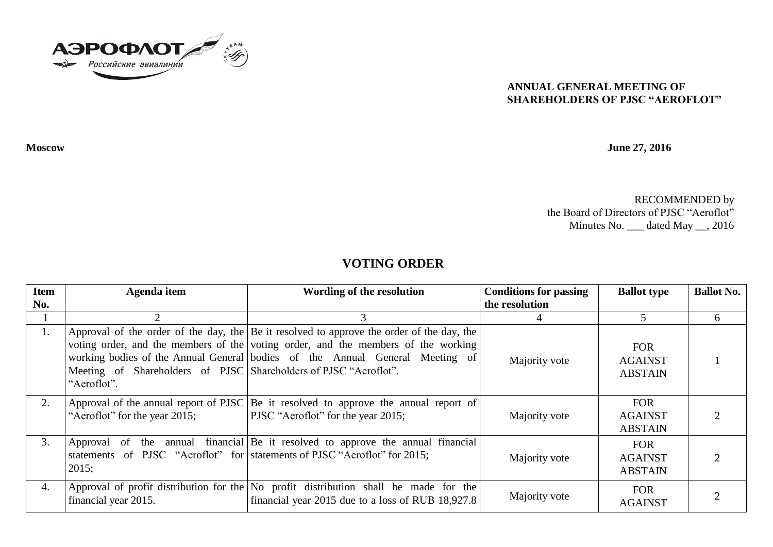

## **ANNUAL GENERAL MEETING OF SHAREHOLDERS OF PJSC "AEROFLOT"**

**Moscow June 27, 2016**

RECOMMENDED by the Board of Directors of PJSC "Aeroflot" Minutes No. \_\_\_ dated May \_\_, 2016

## **VOTING ORDER**

| <b>Item</b> | Agenda item                                                                     | Wording of the resolution                                                                                                                                                                                                                                          | <b>Conditions for passing</b> | <b>Ballot type</b>                             | <b>Ballot No.</b> |
|-------------|---------------------------------------------------------------------------------|--------------------------------------------------------------------------------------------------------------------------------------------------------------------------------------------------------------------------------------------------------------------|-------------------------------|------------------------------------------------|-------------------|
| No.         |                                                                                 |                                                                                                                                                                                                                                                                    | the resolution                |                                                |                   |
|             |                                                                                 |                                                                                                                                                                                                                                                                    |                               |                                                | 6                 |
| 1.          | Meeting of Shareholders of PJSC Shareholders of PJSC "Aeroflot".<br>"Aeroflot". | Approval of the order of the day, the $ Be $ it resolved to approve the order of the day, the<br>voting order, and the members of the voting order, and the members of the working<br>working bodies of the Annual General bodies of the Annual General Meeting of | Majority vote                 | <b>FOR</b><br><b>AGAINST</b><br><b>ABSTAIN</b> |                   |
| 2.          | "Aeroflot" for the year 2015;                                                   | Approval of the annual report of PJSC Be it resolved to approve the annual report of<br><b>PJSC</b> "Aeroflot" for the year 2015;                                                                                                                                  | Majority vote                 | <b>FOR</b><br><b>AGAINST</b><br><b>ABSTAIN</b> |                   |
| 3.          | 2015;                                                                           | Approval of the annual financial Be it resolved to approve the annual financial<br>statements of PJSC "Aeroflot" for statements of PJSC "Aeroflot" for 2015;                                                                                                       | Majority vote                 | <b>FOR</b><br><b>AGAINST</b><br><b>ABSTAIN</b> |                   |
| 4.          | financial year 2015.                                                            | Approval of profit distribution for the $\vert$ No profit distribution shall be made for the<br>financial year 2015 due to a loss of RUB 18,927.8                                                                                                                  | Majority vote                 | <b>FOR</b><br><b>AGAINST</b>                   |                   |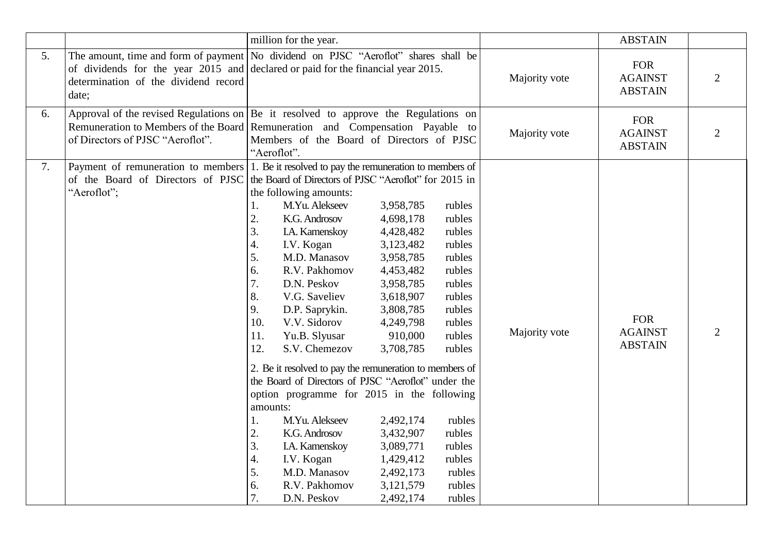|    |                                                                                                                                              | million for the year.                                                                                                                                                                                                                                                                                                                                                                                                                                                                                                                                                                                                                                                                                                         |                                                                                                                                                                                                                                                   |                                                                                                                                                                                            | <b>ABSTAIN</b> |                                                |                |  |
|----|----------------------------------------------------------------------------------------------------------------------------------------------|-------------------------------------------------------------------------------------------------------------------------------------------------------------------------------------------------------------------------------------------------------------------------------------------------------------------------------------------------------------------------------------------------------------------------------------------------------------------------------------------------------------------------------------------------------------------------------------------------------------------------------------------------------------------------------------------------------------------------------|---------------------------------------------------------------------------------------------------------------------------------------------------------------------------------------------------------------------------------------------------|--------------------------------------------------------------------------------------------------------------------------------------------------------------------------------------------|----------------|------------------------------------------------|----------------|--|
| 5. | determination of the dividend record<br>date;                                                                                                | The amount, time and form of payment   No dividend on PJSC "Aeroflot" shares shall be<br>of dividends for the year 2015 and declared or paid for the financial year 2015.                                                                                                                                                                                                                                                                                                                                                                                                                                                                                                                                                     |                                                                                                                                                                                                                                                   |                                                                                                                                                                                            | Majority vote  | <b>FOR</b><br><b>AGAINST</b><br><b>ABSTAIN</b> | $\overline{2}$ |  |
| 6. | of Directors of PJSC "Aeroflot".                                                                                                             | Approval of the revised Regulations on $\begin{vmatrix} Be & \text{it} \\ \text{it} \end{vmatrix}$ resolved to approve the Regulations on<br>Remuneration to Members of the Board Remuneration and Compensation Payable to<br>Members of the Board of Directors of PJSC<br>"Aeroflot".                                                                                                                                                                                                                                                                                                                                                                                                                                        |                                                                                                                                                                                                                                                   |                                                                                                                                                                                            | Majority vote  | <b>FOR</b><br><b>AGAINST</b><br><b>ABSTAIN</b> | $\overline{2}$ |  |
| 7. | Payment of remuneration to members<br>of the Board of Directors of PJSC the Board of Directors of PJSC "Aeroflot" for 2015 in<br>"Aeroflot"; | 1. Be it resolved to pay the remuneration to members of<br>the following amounts:<br>M.Yu. Alekseev<br>1.<br>2.<br>K.G. Androsov<br>3.<br>I.A. Kamenskoy<br>4.<br>I.V. Kogan<br>5.<br>M.D. Manasov<br>6.<br>R.V. Pakhomov<br>7.<br>D.N. Peskov<br>8.<br>V.G. Saveliev<br>9.<br>D.P. Saprykin.<br>10.<br>V.V. Sidorov<br>Yu.B. Slyusar<br>11.<br>12.<br>S.V. Chemezov<br>2. Be it resolved to pay the remuneration to members of<br>the Board of Directors of PJSC "Aeroflot" under the<br>option programme for 2015 in the following<br>amounts:<br>M.Yu. Alekseev<br>1.<br>2.<br>K.G. Androsov<br>3.<br>I.A. Kamenskoy<br>$\boldsymbol{4}$ .<br>I.V. Kogan<br>5.<br>M.D. Manasov<br>6.<br>R.V. Pakhomov<br>7.<br>D.N. Peskov | 3,958,785<br>4,698,178<br>4,428,482<br>3,123,482<br>3,958,785<br>4,453,482<br>3,958,785<br>3,618,907<br>3,808,785<br>4,249,798<br>910,000<br>3,708,785<br>2,492,174<br>3,432,907<br>3,089,771<br>1,429,412<br>2,492,173<br>3,121,579<br>2,492,174 | rubles<br>rubles<br>rubles<br>rubles<br>rubles<br>rubles<br>rubles<br>rubles<br>rubles<br>rubles<br>rubles<br>rubles<br>rubles<br>rubles<br>rubles<br>rubles<br>rubles<br>rubles<br>rubles | Majority vote  | <b>FOR</b><br><b>AGAINST</b><br><b>ABSTAIN</b> | $\overline{2}$ |  |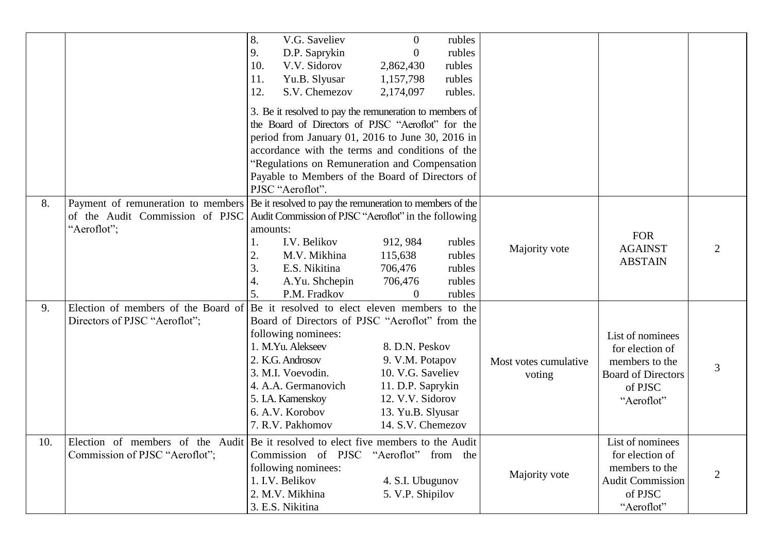|  |     |                                                                                             | 8.<br>V.G. Saveliev                                                                                                             | $\overline{0}$                                          | rubles  |                       |                           |                             |
|--|-----|---------------------------------------------------------------------------------------------|---------------------------------------------------------------------------------------------------------------------------------|---------------------------------------------------------|---------|-----------------------|---------------------------|-----------------------------|
|  |     |                                                                                             | D.P. Saprykin<br>9.                                                                                                             | $\overline{0}$                                          | rubles  |                       |                           |                             |
|  |     |                                                                                             | 10.<br>V.V. Sidorov                                                                                                             | 2,862,430                                               | rubles  |                       |                           |                             |
|  |     |                                                                                             | 11.<br>Yu.B. Slyusar                                                                                                            | 1,157,798                                               | rubles  |                       |                           |                             |
|  |     |                                                                                             | 12.<br>S.V. Chemezov                                                                                                            | 2,174,097                                               | rubles. |                       |                           |                             |
|  |     |                                                                                             |                                                                                                                                 | 3. Be it resolved to pay the remuneration to members of |         |                       |                           |                             |
|  |     |                                                                                             |                                                                                                                                 | the Board of Directors of PJSC "Aeroflot" for the       |         |                       |                           |                             |
|  |     |                                                                                             |                                                                                                                                 | period from January 01, 2016 to June 30, 2016 in        |         |                       |                           |                             |
|  |     |                                                                                             |                                                                                                                                 |                                                         |         |                       |                           |                             |
|  |     |                                                                                             | accordance with the terms and conditions of the<br>"Regulations on Remuneration and Compensation                                |                                                         |         |                       |                           |                             |
|  |     |                                                                                             | Payable to Members of the Board of Directors of                                                                                 |                                                         |         |                       |                           |                             |
|  |     |                                                                                             | PJSC "Aeroflot".                                                                                                                |                                                         |         |                       |                           |                             |
|  | 8.  | Payment of remuneration to members Be it resolved to pay the remuneration to members of the |                                                                                                                                 |                                                         |         |                       |                           |                             |
|  |     | of the Audit Commission of PJSC                                                             | Audit Commission of PJSC "Aeroflot" in the following                                                                            |                                                         |         |                       |                           |                             |
|  |     | "Aeroflot";                                                                                 | amounts:                                                                                                                        |                                                         |         |                       |                           |                             |
|  |     |                                                                                             | I.V. Belikov<br>1.                                                                                                              | 912, 984                                                | rubles  |                       | <b>FOR</b>                |                             |
|  |     |                                                                                             | 2.<br>M.V. Mikhina                                                                                                              | 115,638                                                 | rubles  | Majority vote         | <b>AGAINST</b>            | $\mathcal{D}_{\mathcal{L}}$ |
|  |     |                                                                                             | 3.<br>E.S. Nikitina                                                                                                             | 706,476                                                 | rubles  |                       | <b>ABSTAIN</b>            |                             |
|  |     |                                                                                             | 4.<br>A.Yu. Shchepin                                                                                                            | 706,476                                                 | rubles  |                       |                           |                             |
|  |     |                                                                                             | 5.<br>P.M. Fradkov                                                                                                              | $\Omega$                                                | rubles  |                       |                           |                             |
|  | 9.  | Election of members of the Board of Be it resolved to elect eleven members to the           |                                                                                                                                 |                                                         |         |                       |                           |                             |
|  |     | Directors of PJSC "Aeroflot";                                                               |                                                                                                                                 | Board of Directors of PJSC "Aeroflot" from the          |         |                       |                           |                             |
|  |     |                                                                                             | following nominees:                                                                                                             |                                                         |         |                       | List of nominees          |                             |
|  |     |                                                                                             | 1. M.Yu. Alekseev                                                                                                               | 8. D.N. Peskov                                          |         |                       | for election of           |                             |
|  |     |                                                                                             | 2. K.G. Androsov                                                                                                                | 9. V.M. Potapov                                         |         | Most votes cumulative | members to the            |                             |
|  |     |                                                                                             | 3. M.I. Voevodin.                                                                                                               | 10. V.G. Saveliev                                       |         | voting                | <b>Board of Directors</b> | 3                           |
|  |     |                                                                                             | 4. A.A. Germanovich                                                                                                             | 11. D.P. Saprykin                                       |         |                       | of PJSC                   |                             |
|  |     |                                                                                             | 5. I.A. Kamenskoy                                                                                                               | 12. V.V. Sidorov                                        |         |                       | "Aeroflot"                |                             |
|  |     |                                                                                             | 6. A.V. Korobov                                                                                                                 | 13. Yu.B. Slyusar                                       |         |                       |                           |                             |
|  |     |                                                                                             | 7. R.V. Pakhomov                                                                                                                | 14. S.V. Chemezov                                       |         |                       |                           |                             |
|  | 10. |                                                                                             | Election of members of the Audit Be it resolved to elect five members to the Audit<br>"Aeroflot" from the<br>Commission of PJSC |                                                         |         | List of nominees      |                           |                             |
|  |     | Commission of PJSC "Aeroflot";                                                              |                                                                                                                                 |                                                         |         | for election of       |                           |                             |
|  |     |                                                                                             | following nominees:                                                                                                             |                                                         |         | Majority vote         | members to the            | 2                           |
|  |     |                                                                                             | 1. I.V. Belikov                                                                                                                 | 4. S.I. Ubugunov                                        |         |                       | <b>Audit Commission</b>   |                             |
|  |     |                                                                                             | 2. M.V. Mikhina                                                                                                                 | 5. V.P. Shipilov                                        |         |                       | of PJSC                   |                             |
|  |     |                                                                                             | 3. E.S. Nikitina                                                                                                                |                                                         |         |                       | "Aeroflot"                |                             |